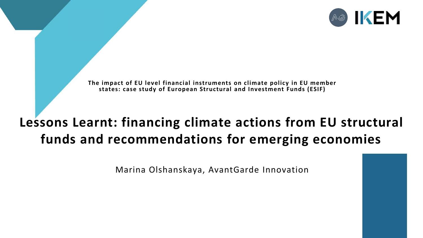

**The impact of EU level financial instruments on climate policy in EU member states: case study of European Structural and Investment Funds (ESIF)** 

#### **Lessons Learnt: financing climate actions from EU structural funds and recommendations for emerging economies**

Marina Olshanskaya, AvantGarde Innovation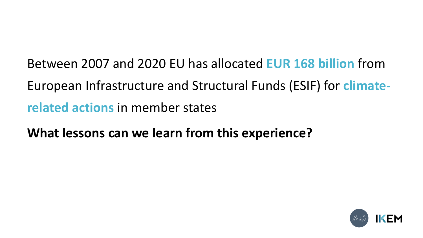Between 2007 and 2020 EU has allocated **EUR 168 billion** from European Infrastructure and Structural Funds (ESIF) for **climaterelated actions** in member states

**What lessons can we learn from this experience?** 

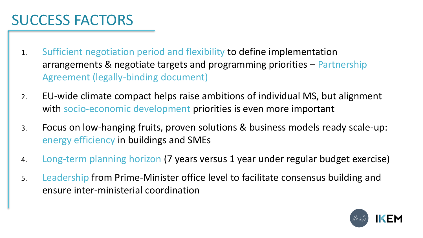### SUCCESS FACTORS

- 1. Sufficient negotiation period and flexibility to define implementation arrangements & negotiate targets and programming priorities – Partnership Agreement (legally-binding document)
- 2. EU-wide climate compact helps raise ambitions of individual MS, but alignment with socio-economic development priorities is even more important
- 3. Focus on low-hanging fruits, proven solutions & business models ready scale-up: energy efficiency in buildings and SMEs
- 4. Long-term planning horizon (7 years versus 1 year under regular budget exercise)
- 5. Leadership from Prime-Minister office level to facilitate consensus building and ensure inter-ministerial coordination

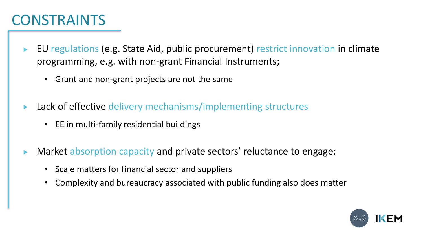#### **CONSTRAINTS**

- EU regulations (e.g. State Aid, public procurement) restrict innovation in climate programming, e.g. with non-grant Financial Instruments;
	- Grant and non-grant projects are not the same
- Lack of effective delivery mechanisms/implementing structures
	- EE in multi-family residential buildings
- Market absorption capacity and private sectors' reluctance to engage:
	- Scale matters for financial sector and suppliers
	- Complexity and bureaucracy associated with public funding also does matter

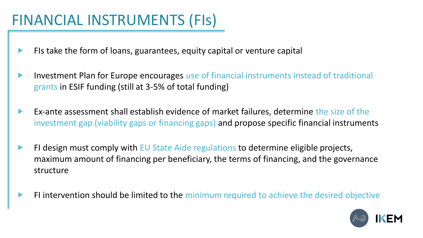# FINANCIAL INSTRUMENTS (FIs)

- FIs take the form of loans, guarantees, equity capital or venture capital ▶
- Investment Plan for Europe encourages use of financial instruments instead of traditional  $\blacktriangleright$ grants in ESIF funding (still at 3-5% of total funding)
- Ex‐ante assessment shall establish evidence of market failures, determine the size of the  $\blacktriangleright$ investment gap (viability gaps or financing gaps) and propose specific financial instruments
- FI design must comply with EU State Aide regulations to determine eligible projects,  $\blacktriangleright$ maximum amount of financing per beneficiary, the terms of financing, and the governance structure
- FI intervention should be limited to the minimum required to achieve the desired objective ▶

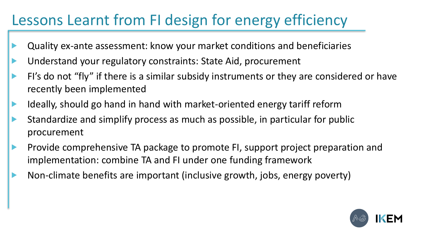## Lessons Learnt from FI design for energy efficiency

- Quality ex-ante assessment: know your market conditions and beneficiaries
- Understand your regulatory constraints: State Aid, procurement
- FI's do not "fly" if there is a similar subsidy instruments or they are considered or have recently been implemented
- Ideally, should go hand in hand with market-oriented energy tariff reform  $\blacktriangleright$
- Standardize and simplify process as much as possible, in particular for public procurement
- Provide comprehensive TA package to promote FI, support project preparation and ▶ implementation: combine TA and FI under one funding framework
- Non-climate benefits are important (inclusive growth, jobs, energy poverty) $\blacktriangleright$

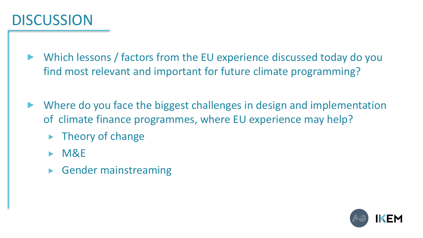### **DISCUSSION**

Which lessons / factors from the EU experience discussed today do you find most relevant and important for future climate programming?

- Where do you face the biggest challenges in design and implementation of climate finance programmes, where EU experience may help?
	- Theory of change  $\blacktriangleright$
	- $\triangleright$  M&E
	- ► Gender mainstreaming